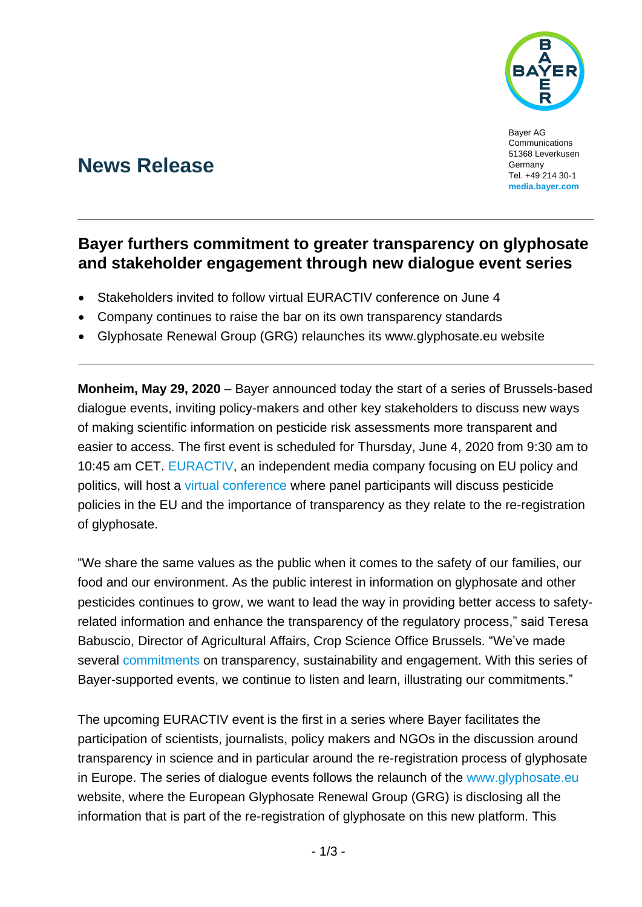

Bayer AG Communications 51368 Leverkusen Germany Tel. +49 214 30-1 **[media.bayer.com](http://media.bayer.de/)**

# **News Release**

## **Bayer furthers commitment to greater transparency on glyphosate and stakeholder engagement through new dialogue event series**

- Stakeholders invited to follow virtual EURACTIV conference on June 4
- Company continues to raise the bar on its own transparency standards
- Glyphosate Renewal Group (GRG) relaunches its www.glyphosate.eu website

**Monheim, May 29, 2020** – Bayer announced today the start of a series of Brussels-based dialogue events, inviting policy-makers and other key stakeholders to discuss new ways of making scientific information on pesticide risk assessments more transparent and easier to access. The first event is scheduled for Thursday, June 4, 2020 from 9:30 am to 10:45 am CET. [EURACTIV,](https://www.euractiv.com/) an independent media company focusing on EU policy and politics, will host a [virtual conference](https://events.euractiv.com/event/info/transparency-in-eu-policymaking-the-case-of-glyphosate) where panel participants will discuss pesticide policies in the EU and the importance of transparency as they relate to the re-registration of glyphosate.

"We share the same values as the public when it comes to the safety of our families, our food and our environment. As the public interest in information on glyphosate and other pesticides continues to grow, we want to lead the way in providing better access to safetyrelated information and enhance the transparency of the regulatory process," said Teresa Babuscio, Director of Agricultural Affairs, Crop Science Office Brussels. "We've made several [commitments](https://www.bayer.com/en/our-commitments-on-transparency-sustainability-and-engagement.aspx) on transparency, sustainability and engagement. With this series of Bayer-supported events, we continue to listen and learn, illustrating our commitments."

The upcoming EURACTIV event is the first in a series where Bayer facilitates the participation of scientists, journalists, policy makers and NGOs in the discussion around transparency in science and in particular around the re-registration process of glyphosate in Europe. The series of dialogue events follows the relaunch of the [www.glyphosate.eu](http://www.glyphosate.eu/) [website,](http://www.glyphosate.eu/) where the European Glyphosate Renewal Group (GRG) is disclosing all the information that is part of the re-registration of glyphosate on this new platform. This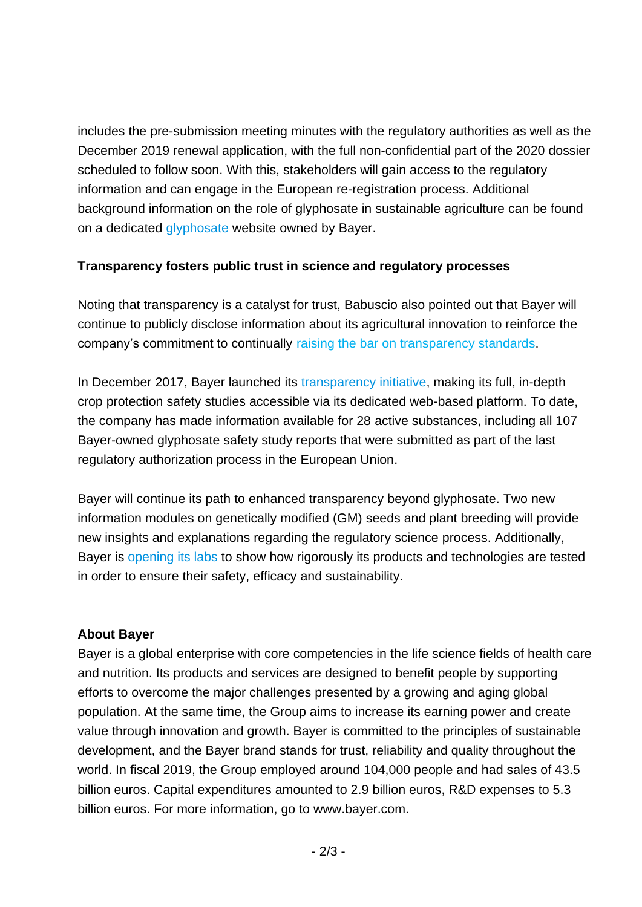includes the pre-submission meeting minutes with the regulatory authorities as well as the December 2019 renewal application, with the full non-confidential part of the 2020 dossier scheduled to follow soon. With this, stakeholders will gain access to the regulatory information and can engage in the European re-registration process. Additional background information on the role of glyphosate in sustainable agriculture can be found on a dedicated [glyphosate](https://www.bayer.com/en/glyphosate-roundup.aspx) website owned by Bayer.

### **Transparency fosters public trust in science and regulatory processes**

Noting that transparency is a catalyst for trust, Babuscio also pointed out that Bayer will continue to publicly disclose information about its agricultural innovation to reinforce the company's commitment to continually [raising the bar on transparency standards.](https://media.bayer.com/baynews/baynews.nsf/id/Bayer-raises-the-bar-in-transparency-sustainability-and-engagement)

In December 2017, Bayer launched its [transparency initiative,](https://www.cropscience.bayer.com/transparency-crop-science) making its full, in-depth crop protection safety studies accessible via its dedicated web-based platform. To date, the company has made information available for 28 active substances, including all 107 Bayer-owned glyphosate safety study reports that were submitted as part of the last regulatory authorization process in the European Union.

Bayer will continue its path to enhanced transparency beyond glyphosate. Two new information modules on genetically modified (GM) seeds and plant breeding will provide new insights and explanations regarding the regulatory science process. Additionally, Bayer is [opening its labs](https://media.bayer.com/baynews/baynews.nsf/id/Bayer-expands-commitment-to-transparency-in-2020) to show how rigorously its products and technologies are tested in order to ensure their safety, efficacy and sustainability.

### **About Bayer**

Bayer is a global enterprise with core competencies in the life science fields of health care and nutrition. Its products and services are designed to benefit people by supporting efforts to overcome the major challenges presented by a growing and aging global population. At the same time, the Group aims to increase its earning power and create value through innovation and growth. Bayer is committed to the principles of sustainable development, and the Bayer brand stands for trust, reliability and quality throughout the world. In fiscal 2019, the Group employed around 104,000 people and had sales of 43.5 billion euros. Capital expenditures amounted to 2.9 billion euros, R&D expenses to 5.3 billion euros. For more information, go to [www.bayer.com.](http://www.bayer.com/)